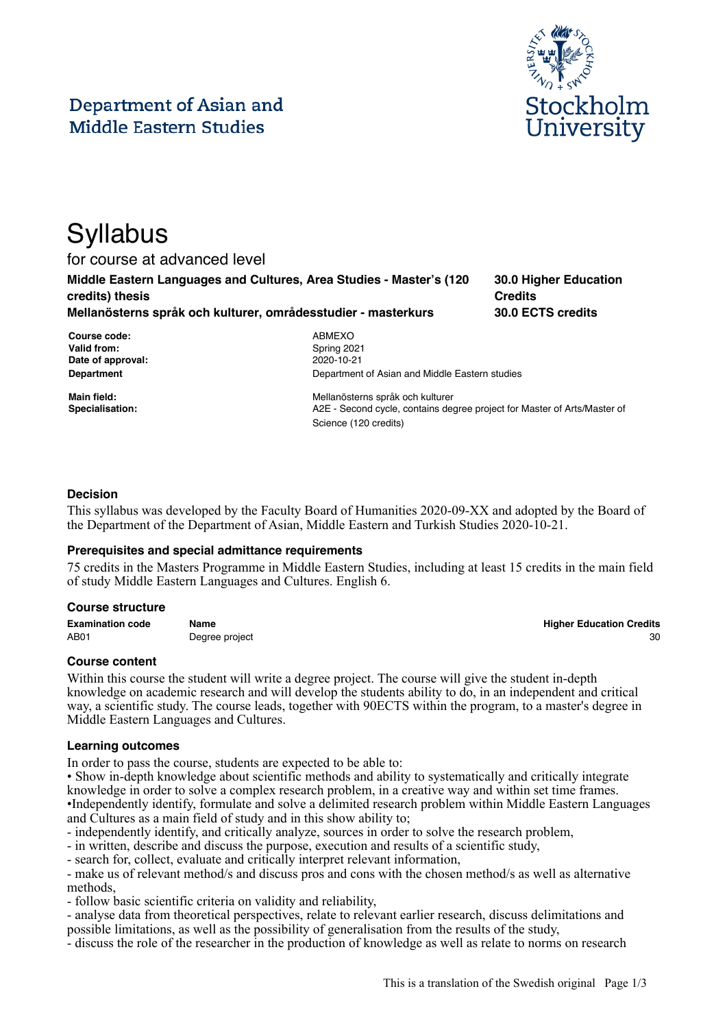# Department of Asian and **Middle Eastern Studies**



**30.0 Higher Education**

**30.0 ECTS credits**

**Credits**

# **Syllabus**

for course at advanced level

**Middle Eastern Languages and Cultures, Area Studies - Master's (120 credits) thesis**

**Mellanösterns språk och kulturer, områdesstudier - masterkurs**

| Course code:      |
|-------------------|
| Valid from:       |
| Date of approval: |
| Department        |

**Course code:** ABMEXO **Valid from:** Spring 2021 **Date of approval:** 2020-10-21 **Department of Asian and Middle Eastern studies** 

**Main field:** Mellanösterns språk och kulturer **Specialisation:** A2E - Second cycle, contains degree project for Master of Arts/Master of Science (120 credits)

# **Decision**

This syllabus was developed by the Faculty Board of Humanities 2020-09-XX and adopted by the Board of the Department of the Department of Asian, Middle Eastern and Turkish Studies 2020-10-21.

## **Prerequisites and special admittance requirements**

75 credits in the Masters Programme in Middle Eastern Studies, including at least 15 credits in the main field of study Middle Eastern Languages and Cultures. English 6.

## **Course structure**

**Examination code Name Higher Education Credits** AB01 Degree project 30

## **Course content**

Within this course the student will write a degree project. The course will give the student in-depth knowledge on academic research and will develop the students ability to do, in an independent and critical way, a scientific study. The course leads, together with 90ECTS within the program, to a master's degree in Middle Eastern Languages and Cultures.

## **Learning outcomes**

In order to pass the course, students are expected to be able to:

• Show in-depth knowledge about scientific methods and ability to systematically and critically integrate knowledge in order to solve a complex research problem, in a creative way and within set time frames. •Independently identify, formulate and solve a delimited research problem within Middle Eastern Languages and Cultures as a main field of study and in this show ability to;

- independently identify, and critically analyze, sources in order to solve the research problem,

- in written, describe and discuss the purpose, execution and results of a scientific study,

- search for, collect, evaluate and critically interpret relevant information,

- make us of relevant method/s and discuss pros and cons with the chosen method/s as well as alternative methods,

- follow basic scientific criteria on validity and reliability,

- analyse data from theoretical perspectives, relate to relevant earlier research, discuss delimitations and possible limitations, as well as the possibility of generalisation from the results of the study,

- discuss the role of the researcher in the production of knowledge as well as relate to norms on research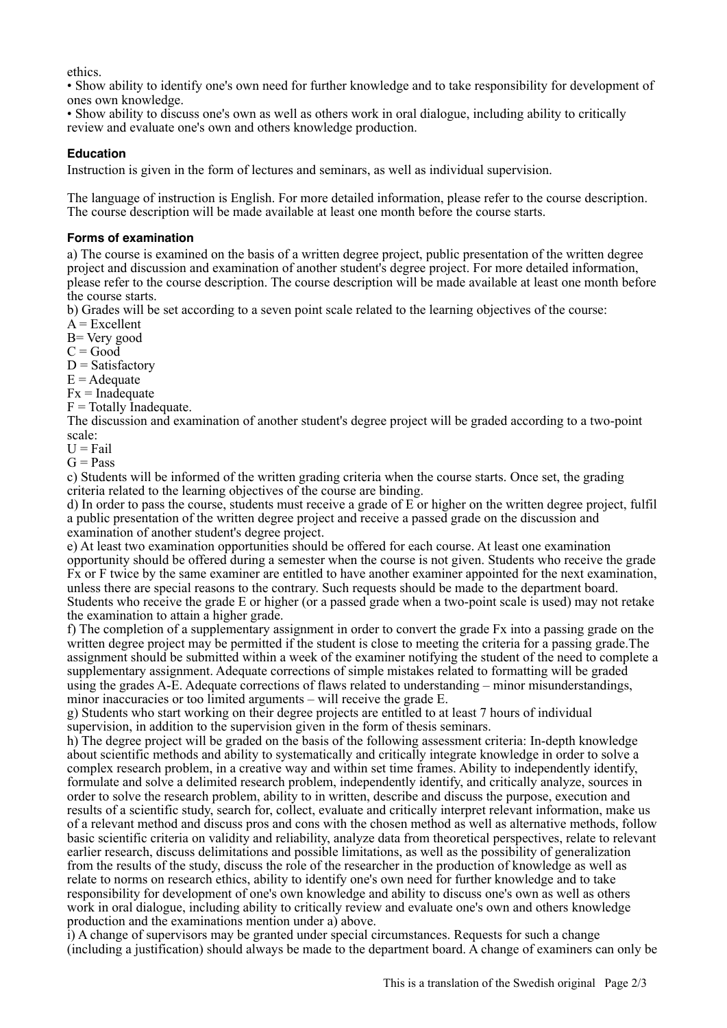ethics.

• Show ability to identify one's own need for further knowledge and to take responsibility for development of ones own knowledge.

• Show ability to discuss one's own as well as others work in oral dialogue, including ability to critically review and evaluate one's own and others knowledge production.

## **Education**

Instruction is given in the form of lectures and seminars, as well as individual supervision.

The language of instruction is English. For more detailed information, please refer to the course description. The course description will be made available at least one month before the course starts.

#### **Forms of examination**

a) The course is examined on the basis of a written degree project, public presentation of the written degree project and discussion and examination of another student's degree project. For more detailed information, please refer to the course description. The course description will be made available at least one month before the course starts.

b) Grades will be set according to a seven point scale related to the learning objectives of the course:

 $A = Excellent$ 

B= Very good

 $C = Good$ 

 $D = Satisfactory$ 

 $E =$  Adequate

 $Fx = Inad$ equate

 $F = \text{Totally Indequate}.$ 

The discussion and examination of another student's degree project will be graded according to a two-point scale:

 $U = Fail$ 

 $G = Pass$ 

c) Students will be informed of the written grading criteria when the course starts. Once set, the grading criteria related to the learning objectives of the course are binding.

d) In order to pass the course, students must receive a grade of E or higher on the written degree project, fulfil a public presentation of the written degree project and receive a passed grade on the discussion and examination of another student's degree project.

e) At least two examination opportunities should be offered for each course. At least one examination opportunity should be offered during a semester when the course is not given. Students who receive the grade Fx or F twice by the same examiner are entitled to have another examiner appointed for the next examination, unless there are special reasons to the contrary. Such requests should be made to the department board. Students who receive the grade E or higher (or a passed grade when a two-point scale is used) may not retake the examination to attain a higher grade.

f) The completion of a supplementary assignment in order to convert the grade Fx into a passing grade on the written degree project may be permitted if the student is close to meeting the criteria for a passing grade.The assignment should be submitted within a week of the examiner notifying the student of the need to complete a supplementary assignment. Adequate corrections of simple mistakes related to formatting will be graded using the grades A-E. Adequate corrections of flaws related to understanding – minor misunderstandings, minor inaccuracies or too limited arguments – will receive the grade E.

g) Students who start working on their degree projects are entitled to at least 7 hours of individual supervision, in addition to the supervision given in the form of thesis seminars.

h) The degree project will be graded on the basis of the following assessment criteria: In-depth knowledge about scientific methods and ability to systematically and critically integrate knowledge in order to solve a complex research problem, in a creative way and within set time frames. Ability to independently identify, formulate and solve a delimited research problem, independently identify, and critically analyze, sources in order to solve the research problem, ability to in written, describe and discuss the purpose, execution and results of a scientific study, search for, collect, evaluate and critically interpret relevant information, make us of a relevant method and discuss pros and cons with the chosen method as well as alternative methods, follow basic scientific criteria on validity and reliability, analyze data from theoretical perspectives, relate to relevant earlier research, discuss delimitations and possible limitations, as well as the possibility of generalization from the results of the study, discuss the role of the researcher in the production of knowledge as well as relate to norms on research ethics, ability to identify one's own need for further knowledge and to take responsibility for development of one's own knowledge and ability to discuss one's own as well as others work in oral dialogue, including ability to critically review and evaluate one's own and others knowledge production and the examinations mention under a) above.

i) A change of supervisors may be granted under special circumstances. Requests for such a change (including a justification) should always be made to the department board. A change of examiners can only be